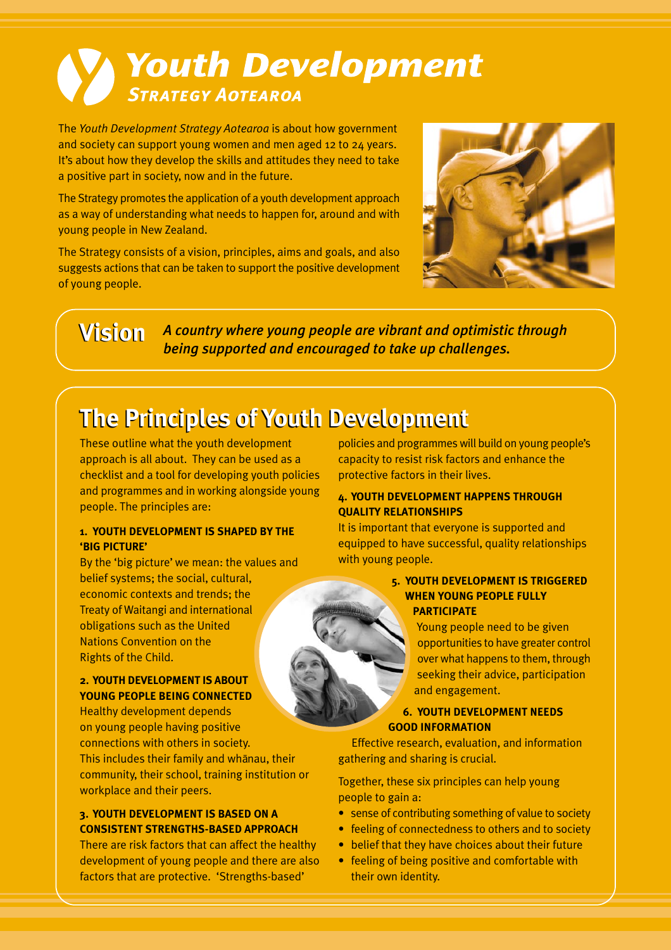# Youth Development **STRATEGY AOTEAROA**

The *Youth Development Strategy Aotearoa* is about how government and society can support young women and men aged 12 to 24 years. It's about how they develop the skills and attitudes they need to take a positive part in society, now and in the future.

The Strategy promotes the application of a youth development approach as a way of understanding what needs to happen for, around and with young people in New Zealand.

The Strategy consists of a vision, principles, aims and goals, and also suggests actions that can be taken to support the positive development of young people.



**Vision** *A country where young people are vibrant and optimistic through being supported and encouraged to take up challenges.*

# **The Principles of Youth Development The Principles of Youth Development**

These outline what the youth development approach is all about. They can be used as a checklist and a tool for developing youth policies and programmes and in working alongside young people. The principles are:

#### **1. YOUTH DEVELOPMENT IS SHAPED BY THE 'BIG PICTURE'**

By the 'big picture' we mean: the values and belief systems; the social, cultural, economic contexts and trends; the Treaty of Waitangi and international obligations such as the United Nations Convention on the Rights of the Child.

#### **2. YOUTH DEVELOPMENT IS ABOUT YOUNG PEOPLE BEING CONNECTED**

Healthy development depends on young people having positive connections with others in society. This includes their family and whanau, their community, their school, training institution or workplace and their peers.

#### **3. YOUTH DEVELOPMENT IS BASED ON A CONSISTENT STRENGTHS-BASED APPROACH**

There are risk factors that can affect the healthy development of young people and there are also factors that are protective. 'Strengths-based'

policies and programmes will build on young people's capacity to resist risk factors and enhance the protective factors in their lives.

#### **4. YOUTH DEVELOPMENT HAPPENS THROUGH QUALITY RELATIONSHIPS**

It is important that everyone is supported and equipped to have successful, quality relationships with young people.

#### **5. YOUTH DEVELOPMENT IS TRIGGERED WHEN YOUNG PEOPLE FULLY PARTICIPATE**

Young people need to be given opportunities to have greater control over what happens to them, through seeking their advice, participation and engagement.

#### **6. YOUTH DEVELOPMENT NEEDS GOOD INFORMATION**

Effective research, evaluation, and information gathering and sharing is crucial.

Together, these six principles can help young people to gain a:

- sense of contributing something of value to society
- feeling of connectedness to others and to society
- belief that they have choices about their future
- feeling of being positive and comfortable with their own identity.